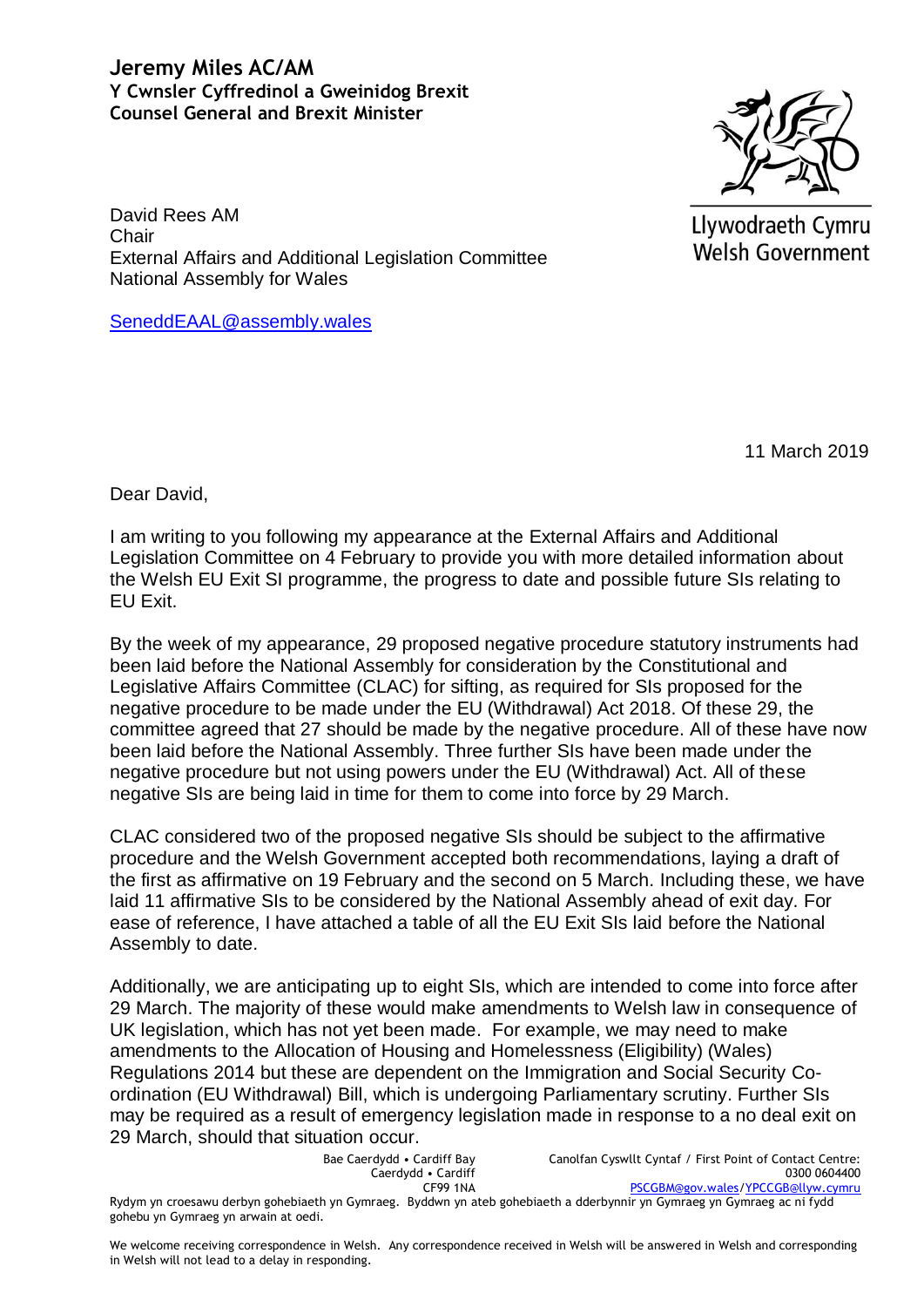## **Jeremy Miles AC/AM Y Cwnsler Cyffredinol a Gweinidog Brexit Counsel General and Brexit Minister**



Llywodraeth Cymru Welsh Government

David Rees AM Chair External Affairs and Additional Legislation Committee National Assembly for Wales

SeneddEAAL@assembly.wales

11 March 2019

Dear David,

I am writing to you following my appearance at the External Affairs and Additional Legislation Committee on 4 February to provide you with more detailed information about the Welsh EU Exit SI programme, the progress to date and possible future SIs relating to EU Exit.

By the week of my appearance, 29 proposed negative procedure statutory instruments had been laid before the National Assembly for consideration by the Constitutional and Legislative Affairs Committee (CLAC) for sifting, as required for SIs proposed for the negative procedure to be made under the EU (Withdrawal) Act 2018. Of these 29, the committee agreed that 27 should be made by the negative procedure. All of these have now been laid before the National Assembly. Three further SIs have been made under the negative procedure but not using powers under the EU (Withdrawal) Act. All of these negative SIs are being laid in time for them to come into force by 29 March.

CLAC considered two of the proposed negative SIs should be subject to the affirmative procedure and the Welsh Government accepted both recommendations, laying a draft of the first as affirmative on 19 February and the second on 5 March. Including these, we have laid 11 affirmative SIs to be considered by the National Assembly ahead of exit day. For ease of reference, I have attached a table of all the EU Exit SIs laid before the National Assembly to date.

Additionally, we are anticipating up to eight SIs, which are intended to come into force after 29 March. The majority of these would make amendments to Welsh law in consequence of UK legislation, which has not yet been made. For example, we may need to make amendments to the Allocation of Housing and Homelessness (Eligibility) (Wales) Regulations 2014 but these are dependent on the Immigration and Social Security Coordination (EU Withdrawal) Bill, which is undergoing Parliamentary scrutiny. Further SIs may be required as a result of emergency legislation made in response to a no deal exit on 29 March, should that situation occur.

> Bae Caerdydd • Cardiff Bay Caerdydd • Cardiff CF99 1NA

Canolfan Cyswllt Cyntaf / First Point of Contact Centre: 0300 0604400 [PSCGBM@gov.wales](mailto:PSCGBM@gov.wales)[/YPCCGB@llyw.cymru](mailto:YPCCGB@llyw.cymru)

Rydym yn croesawu derbyn gohebiaeth yn Gymraeg. Byddwn yn ateb gohebiaeth a dderbynnir yn Gymraeg yn Gymraeg ac ni fydd gohebu yn Gymraeg yn arwain at oedi.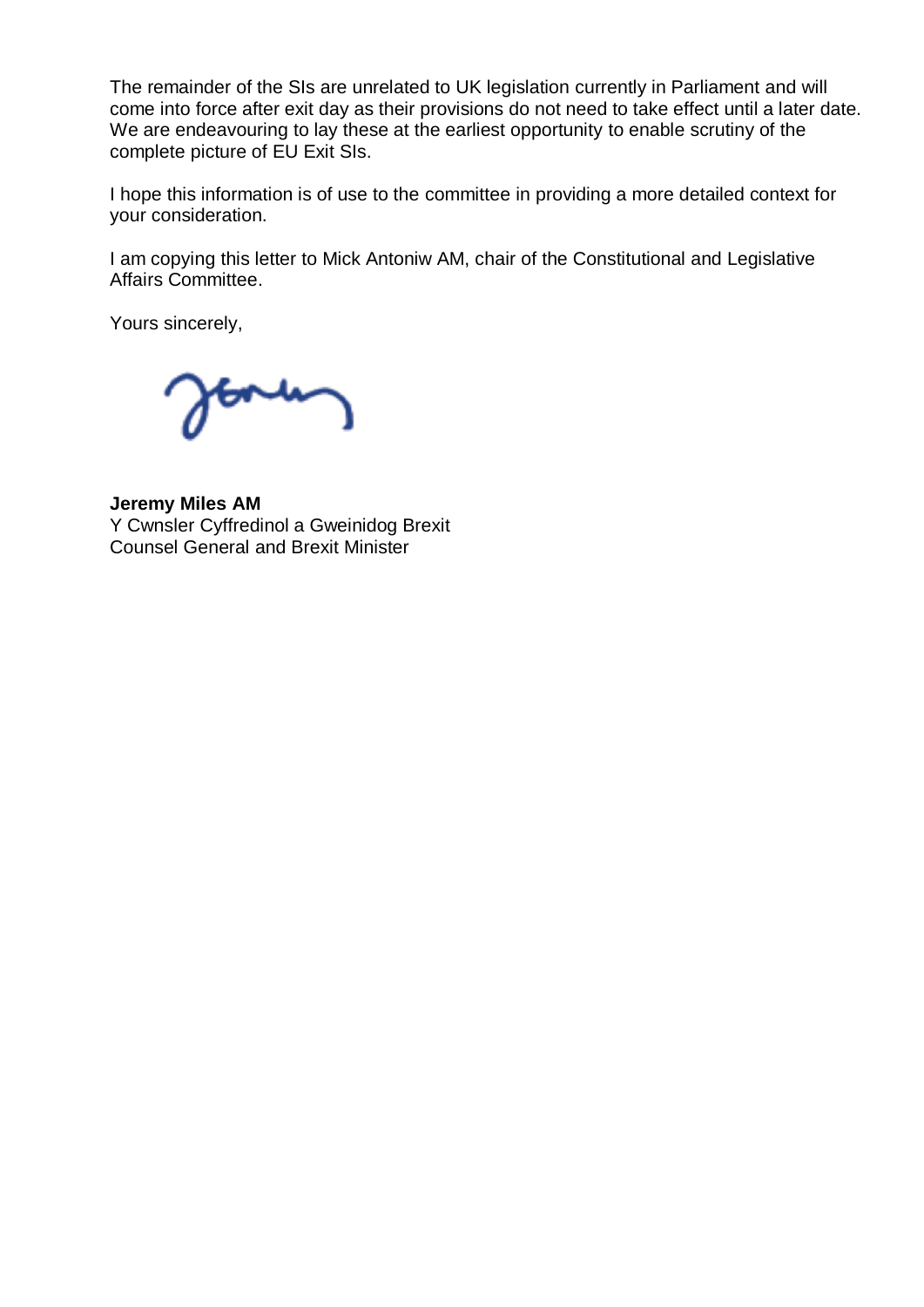The remainder of the SIs are unrelated to UK legislation currently in Parliament and will come into force after exit day as their provisions do not need to take effect until a later date. We are endeavouring to lay these at the earliest opportunity to enable scrutiny of the complete picture of EU Exit SIs.

I hope this information is of use to the committee in providing a more detailed context for your consideration.

I am copying this letter to Mick Antoniw AM, chair of the Constitutional and Legislative Affairs Committee.

Yours sincerely,

**Jeremy Miles AM** Y Cwnsler Cyffredinol a Gweinidog Brexit Counsel General and Brexit Minister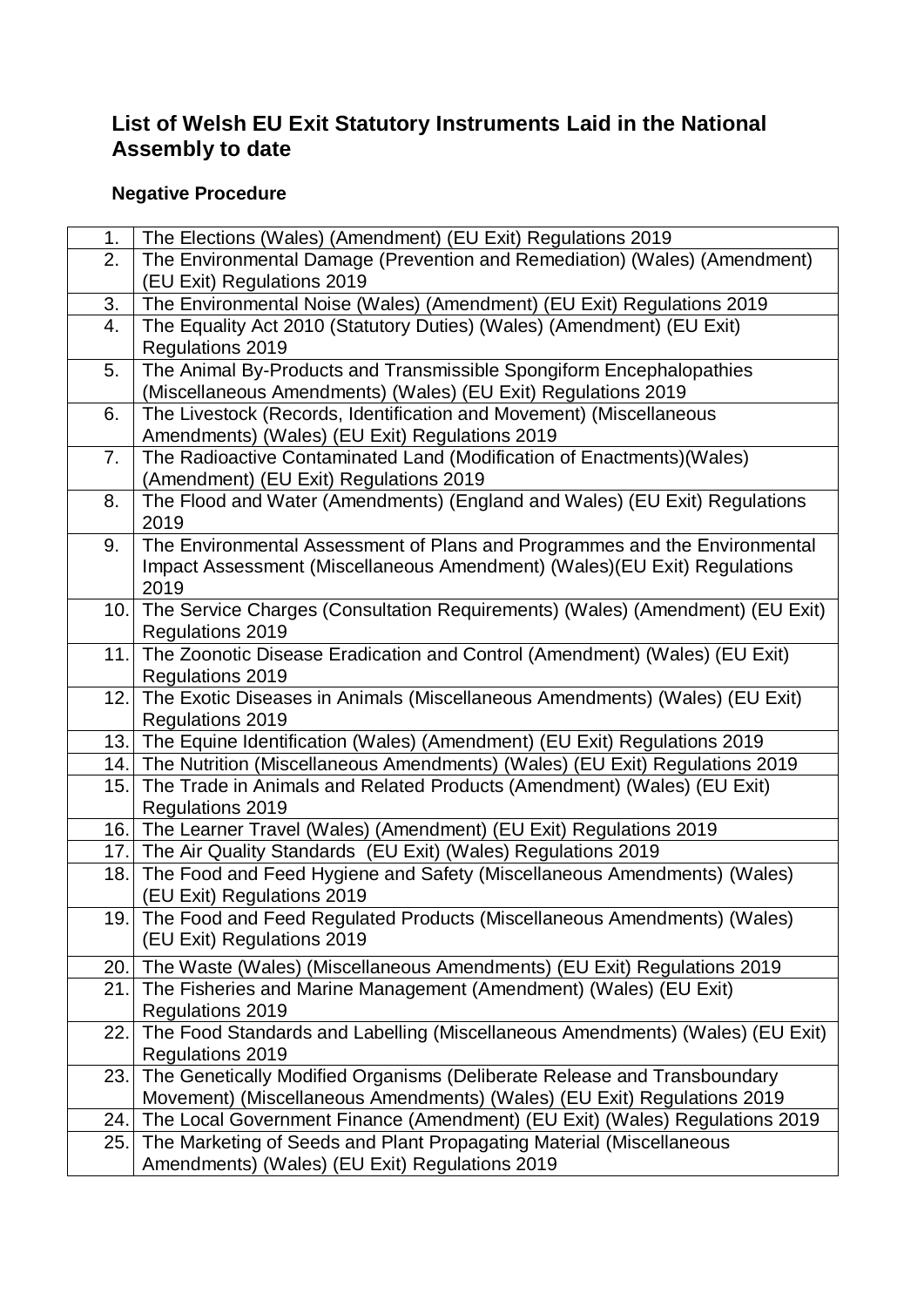## **List of Welsh EU Exit Statutory Instruments Laid in the National Assembly to date**

## **Negative Procedure**

| 1.   | The Elections (Wales) (Amendment) (EU Exit) Regulations 2019                      |
|------|-----------------------------------------------------------------------------------|
| 2.   | The Environmental Damage (Prevention and Remediation) (Wales) (Amendment)         |
|      | (EU Exit) Regulations 2019                                                        |
| 3.   | The Environmental Noise (Wales) (Amendment) (EU Exit) Regulations 2019            |
| 4.   | The Equality Act 2010 (Statutory Duties) (Wales) (Amendment) (EU Exit)            |
|      | Regulations 2019                                                                  |
| 5.   | The Animal By-Products and Transmissible Spongiform Encephalopathies              |
|      | (Miscellaneous Amendments) (Wales) (EU Exit) Regulations 2019                     |
| 6.   | The Livestock (Records, Identification and Movement) (Miscellaneous               |
|      | Amendments) (Wales) (EU Exit) Regulations 2019                                    |
| 7.   | The Radioactive Contaminated Land (Modification of Enactments) (Wales)            |
|      | (Amendment) (EU Exit) Regulations 2019                                            |
| 8.   | The Flood and Water (Amendments) (England and Wales) (EU Exit) Regulations        |
|      | 2019                                                                              |
| 9.   | The Environmental Assessment of Plans and Programmes and the Environmental        |
|      | Impact Assessment (Miscellaneous Amendment) (Wales) (EU Exit) Regulations         |
|      | 2019                                                                              |
|      | 10. The Service Charges (Consultation Requirements) (Wales) (Amendment) (EU Exit) |
|      | <b>Regulations 2019</b>                                                           |
| 11.1 | The Zoonotic Disease Eradication and Control (Amendment) (Wales) (EU Exit)        |
|      | Regulations 2019                                                                  |
|      | 12. The Exotic Diseases in Animals (Miscellaneous Amendments) (Wales) (EU Exit)   |
|      | Regulations 2019                                                                  |
|      | 13. The Equine Identification (Wales) (Amendment) (EU Exit) Regulations 2019      |
|      | 14. The Nutrition (Miscellaneous Amendments) (Wales) (EU Exit) Regulations 2019   |
| 15.  | The Trade in Animals and Related Products (Amendment) (Wales) (EU Exit)           |
|      | Regulations 2019                                                                  |
|      | 16. The Learner Travel (Wales) (Amendment) (EU Exit) Regulations 2019             |
|      | 17. The Air Quality Standards (EU Exit) (Wales) Regulations 2019                  |
|      | 18. The Food and Feed Hygiene and Safety (Miscellaneous Amendments) (Wales)       |
|      | (EU Exit) Regulations 2019                                                        |
|      | 19. The Food and Feed Regulated Products (Miscellaneous Amendments) (Wales)       |
|      | (EU Exit) Regulations 2019                                                        |
|      | 20. The Waste (Wales) (Miscellaneous Amendments) (EU Exit) Regulations 2019       |
| 21.  | The Fisheries and Marine Management (Amendment) (Wales) (EU Exit)                 |
|      | <b>Regulations 2019</b>                                                           |
| 22.  | The Food Standards and Labelling (Miscellaneous Amendments) (Wales) (EU Exit)     |
|      | <b>Regulations 2019</b>                                                           |
| 23.  | The Genetically Modified Organisms (Deliberate Release and Transboundary          |
|      | Movement) (Miscellaneous Amendments) (Wales) (EU Exit) Regulations 2019           |
| 24.  | The Local Government Finance (Amendment) (EU Exit) (Wales) Regulations 2019       |
| 25.  | The Marketing of Seeds and Plant Propagating Material (Miscellaneous              |
|      | Amendments) (Wales) (EU Exit) Regulations 2019                                    |